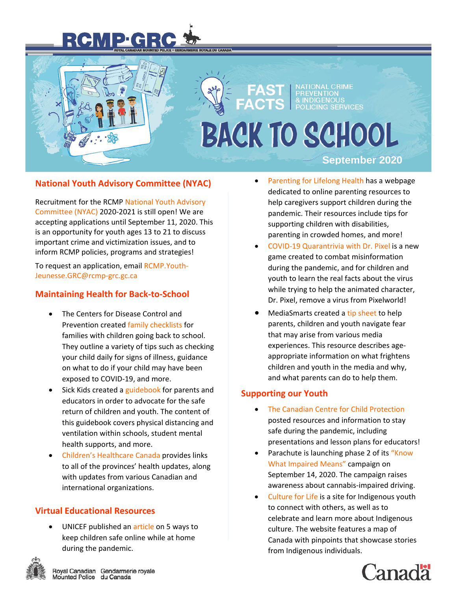# IP GRC

.<br>WALE DU CANADA



# **BACK TO SCHOOL**

### **September 2020**

# **National Youth Advisory Committee (NYAC)**

Recruitment for the RCM[P National Youth Advisory](https://www.rcmp-grc.gc.ca/en/youth-safety/national-youth-advisory-committee)  [Committee \(NYAC\)](https://www.rcmp-grc.gc.ca/en/youth-safety/national-youth-advisory-committee) 2020-2021 is still open! We are accepting applications until September 11, 2020. This is an opportunity for youth ages 13 to 21 to discuss important crime and victimization issues, and to inform RCMP policies, programs and strategies!

To request an application, email [RCMP.Youth-](mailto:RCMP.Youth-Jeunesse.GRC@rcmp-grc.gc.ca)[Jeunesse.GRC@rcmp-grc.gc.ca](mailto:RCMP.Youth-Jeunesse.GRC@rcmp-grc.gc.ca)

# **Maintaining Health for Back-to-School**

- The Centers for Disease Control and Prevention created [family checklists](https://www.cdc.gov/coronavirus/2019-ncov/community/schools-childcare/parent-checklist.html) for families with children going back to school. They outline a variety of tips such as checking your child daily for signs of illness, guidance on what to do if your child may have been exposed to COVID-19, and more.
- Sick Kids created a [guidebook](https://www.sickkids.ca/PDFs/About-SickKids/81407-COVID19-Recommendations-for-School-Reopening-SickKids.pdf) for parents and educators in order to advocate for the safe return of children and youth. The content of this guidebook covers physical distancing and ventilation within schools, student mental health supports, and more.
- [Children's Healthcare Canada](https://www.childrenshealthcarecanada.ca/covid19-and-canadas-kids) provides links to all of the provinces' health updates, along with updates from various Canadian and international organizations.

# **Virtual Educational Resources**

UNICEF published a[n article](https://www.unicef.org/coronavirus/keep-your-child-safe-online-at-home-covid-19) on 5 ways to keep children safe online while at home during the pandemic.



- [Parenting for Lifelong Health](https://www.covid19parenting.com/#/home) has a webpage dedicated to online parenting resources to help caregivers support children during the pandemic. Their resources include tips for supporting children with disabilities, parenting in crowded homes, and more!
- [COVID-19 Quarantrivia with Dr. Pixel](https://quarantriviagame.com/) is a new game created to combat misinformation during the pandemic, and for children and youth to learn the real facts about the virus while trying to help the animated character, Dr. Pixel, remove a virus from Pixelworld!
- MediaSmarts created a [tip sheet](https://mediasmarts.ca/tipsheet/dealing-fear-and-media) to help parents, children and youth navigate fear that may arise from various media experiences. This resource describes ageappropriate information on what frightens children and youth in the media and why, and what parents can do to help them.

#### **Supporting our Youth**

- [The Canadian Centre for Child Protection](https://protectchildren.ca/en/resources-research/supporting-you-through-covid-19/) posted resources and information to stay safe during the pandemic, including presentations and lesson plans for educators!
- Parachute is launching phase 2 of its ["Know](https://parachute.ca/en/program/knowwhatimpairedmeans/)  [What Impaired Means"](https://parachute.ca/en/program/knowwhatimpairedmeans/) campaign on September 14, 2020. The campaign raises awareness about cannabis-impaired driving.
- [Culture for Life](http://cultureforlife.ca/) is a site for Indigenous youth to connect with others, as well as to celebrate and learn more about Indigenous culture. The website features a map of Canada with pinpoints that showcase stories from Indigenous individuals.